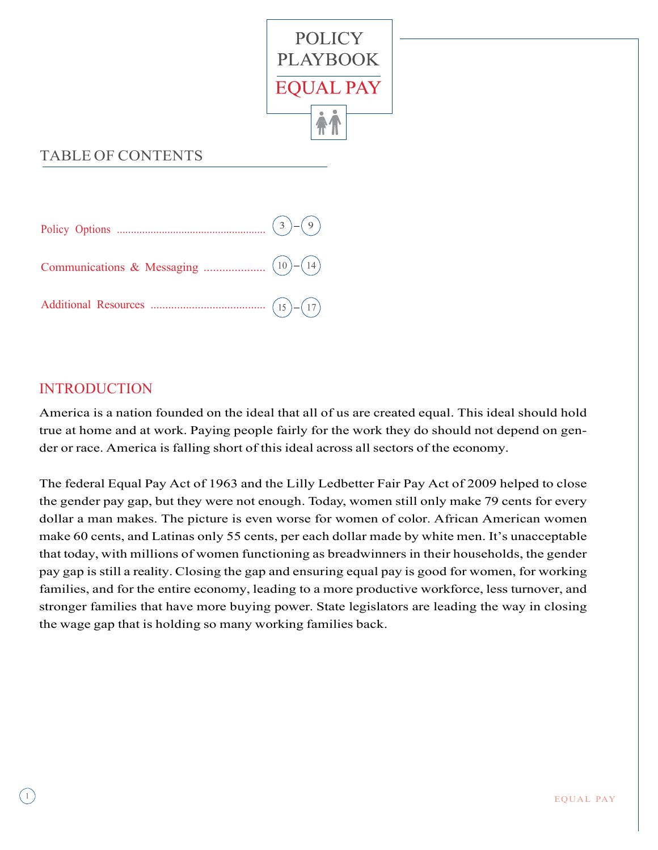

# TABLE OF CONTENTS



## INTRODUCTION

America is a nation founded on the ideal that all of us are created equal. This ideal should hold true at home and at work. Paying people fairly for the work they do should not depend on gender or race. America is falling short of this ideal across all sectors of the economy.

The federal Equal Pay Act of 1963 and the Lilly Ledbetter Fair Pay Act of 2009 helped to close the gender pay gap, but they were not enough. Today, women still only make 79 cents for every dollar a man makes. The picture is even worse for women of color. African American women make 60 cents, and Latinas only 55 cents, per each dollar made by white men. It's unacceptable that today, with millions of women functioning as breadwinnersin their households, the gender pay gap is still a reality. Closing the gap and ensuring equal pay is good for women, for working families, and for the entire economy, leading to a more productive workforce, less turnover, and stronger families that have more buying power. State legislators are leading the way in closing the wage gap that is holding so many working families back.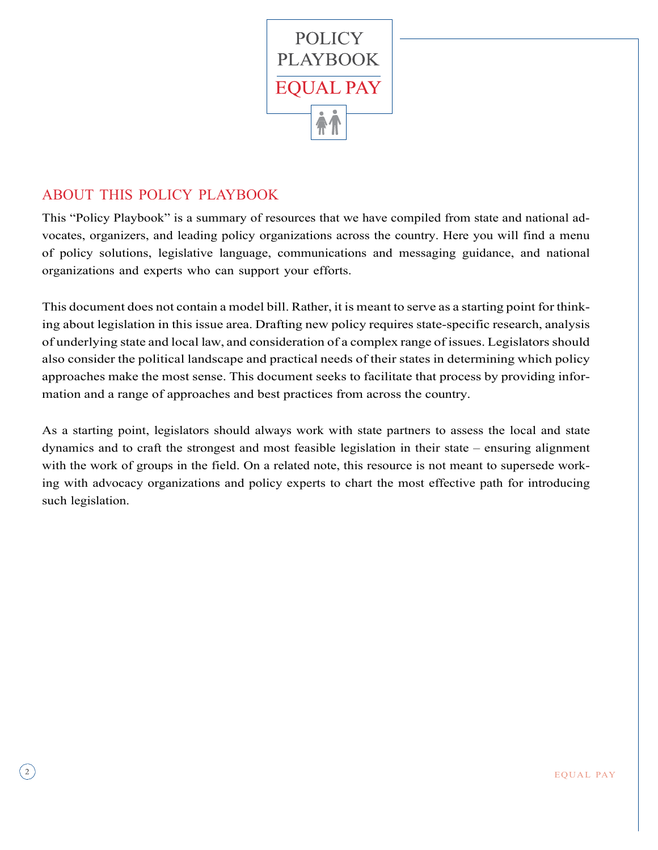

## ABOUT THIS POLICY PLAYBOOK

This "Policy Playbook" is a summary of resources that we have compiled from state and national advocates, organizers, and leading policy organizations across the country. Here you will find a menu of policy solutions, legislative language, communications and messaging guidance, and national organizations and experts who can support your efforts.

This document does not contain a model bill. Rather, it is meant to serve as a starting point for thinking about legislation in this issue area. Drafting new policy requires state-specific research, analysis of underlying state and local law, and consideration of a complex range of issues. Legislators should also consider the political landscape and practical needs of their states in determining which policy approaches make the most sense. This document seeks to facilitate that process by providing information and a range of approaches and best practices from across the country.

As a starting point, legislators should always work with state partners to assess the local and state dynamics and to craft the strongest and most feasible legislation in their state – ensuring alignment with the work of groups in the field. On a related note, this resource is not meant to supersede working with advocacy organizations and policy experts to chart the most effective path for introducing such legislation.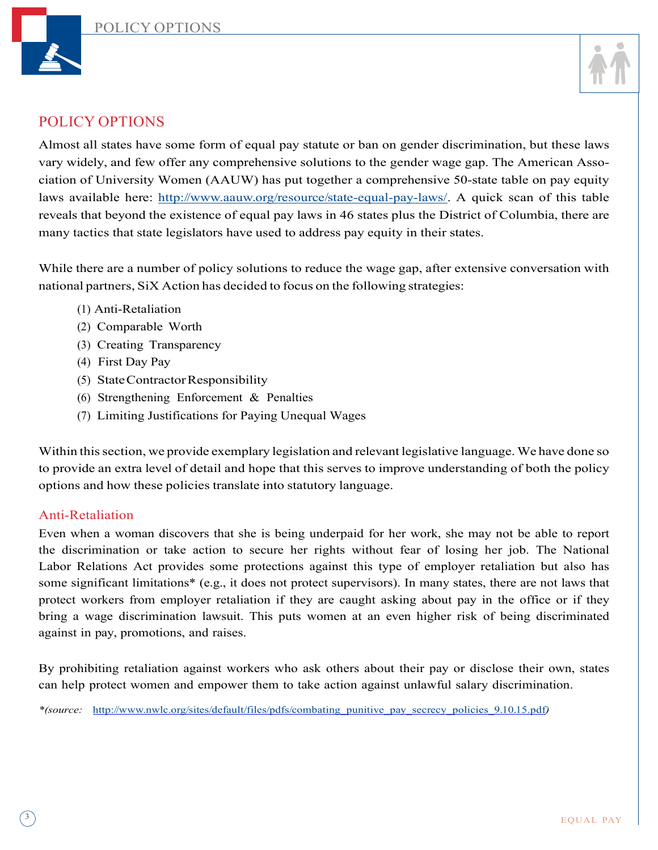



## POLICY OPTIONS

Almost all states have some form of equal pay statute or ban on gender discrimination, but these laws vary widely, and few offer any comprehensive solutions to the gender wage gap. The American Association of University Women (AAUW) has put together a comprehensive 50-state table on pay equity laws available here: http://www.aauw.org/resource/state-equal-pay-laws/. A quick scan of this table reveals that beyond the existence of equal pay laws in 46 states plus the District of Columbia, there are many tactics that state legislators have used to address pay equity in their states.

While there are a number of policy solutions to reduce the wage gap, after extensive conversation with national partners, SiX Action has decided to focus on the following strategies:

- (1) Anti-Retaliation
- (2) Comparable Worth
- (3) Creating Transparency
- (4) First Day Pay
- (5) StateContractorResponsibility
- (6) Strengthening Enforcement & Penalties
- (7) Limiting Justifications for Paying Unequal Wages

Within thissection, we provide exemplary legislation and relevant legislative language. We have done so to provide an extra level of detail and hope that this serves to improve understanding of both the policy options and how these policies translate into statutory language.

#### Anti-Retaliation

Even when a woman discovers that she is being underpaid for her work, she may not be able to report the discrimination or take action to secure her rights without fear of losing her job. The National Labor Relations Act provides some protections against this type of employer retaliation but also has some significant limitations\* (e.g., it does not protect supervisors). In many states, there are not laws that protect workers from employer retaliation if they are caught asking about pay in the office or if they bring a wage discrimination lawsuit. This puts women at an even higher risk of being discriminated against in pay, promotions, and raises.

By prohibiting retaliation against workers who ask others about their pay or disclose their own, states can help protect women and empower them to take action against unlawful salary discrimination.

*\*(source:* http://www.nwlc.org/sites/default/files/pdfs/combating\_punitive\_pay\_secrecy\_policies\_9.10.15.pdf*)*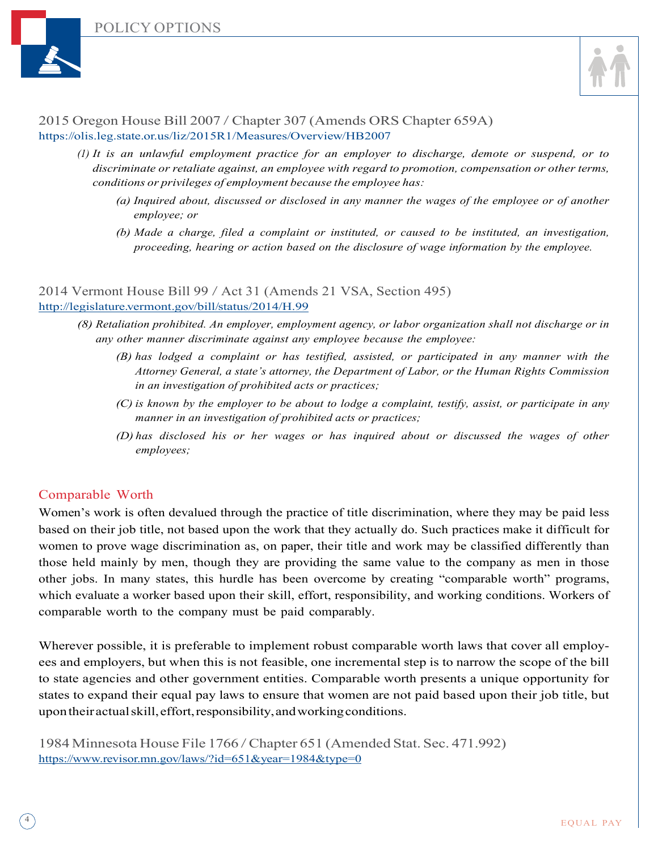



### 2015 Oregon House Bill 2007 / Chapter 307 (Amends ORS Chapter 659A) https://olis.leg.state.or.us/liz/2015R1/Measures/Overview/HB2007

- *(1) It is an unlawful employment practice for an employer to discharge, demote or suspend, or to discriminate or retaliate against, an employee with regard to promotion, compensation or other terms, conditions or privileges of employment because the employee has:*
	- *(a) Inquired about, discussed or disclosed in any manner the wages of the employee or of another employee; or*
	- *(b) Made a charge, filed a complaint or instituted, or caused to be instituted, an investigation, proceeding, hearing or action based on the disclosure of wage information by the employee.*

2014 Vermont House Bill 99 / Act 31 (Amends 21 VSA, Section 495) http://legislature.vermont.gov/bill/status/2014/H.99

- *(8) Retaliation prohibited. An employer, employment agency, or labor organization shall not discharge or in any other manner discriminate against any employee because the employee:*
	- *(B) has lodged a complaint or has testified, assisted, or participated in any manner with the Attorney General, a state's attorney, the Department of Labor, or the Human Rights Commission in an investigation of prohibited acts or practices;*
	- (C) is known by the employer to be about to lodge a complaint, testify, assist, or participate in any *manner in an investigation of prohibited acts or practices;*
	- *(D) has disclosed his or her wages or has inquired about or discussed the wages of other employees;*

#### Comparable Worth

Women's work is often devalued through the practice of title discrimination, where they may be paid less based on their job title, not based upon the work that they actually do. Such practices make it difficult for women to prove wage discrimination as, on paper, their title and work may be classified differently than those held mainly by men, though they are providing the same value to the company as men in those other jobs. In many states, this hurdle has been overcome by creating "comparable worth" programs, which evaluate a worker based upon their skill, effort, responsibility, and working conditions. Workers of comparable worth to the company must be paid comparably.

Wherever possible, it is preferable to implement robust comparable worth laws that cover all employees and employers, but when this is not feasible, one incremental step is to narrow the scope of the bill to state agencies and other government entities. Comparable worth presents a unique opportunity for states to expand their equal pay laws to ensure that women are not paid based upon their job title, but upontheiractualskill,effort,responsibility,andworkingconditions.

1984 Minnesota House File 1766 /Chapter 651 (Amended Stat. Sec. 471.992) https://www.revisor.mn.gov/laws/?id=651&year=1984&type=0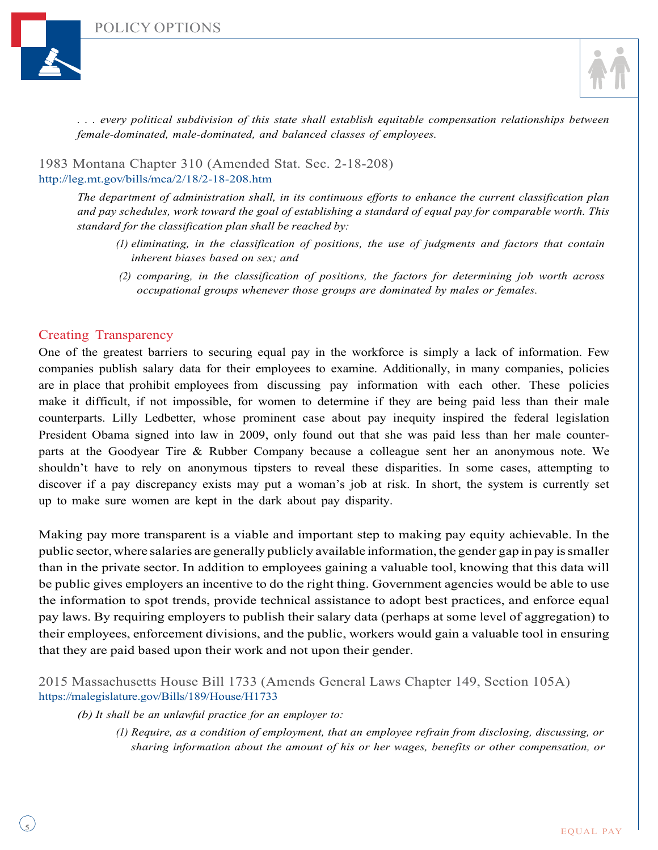



*. . . every political subdivision of this state shall establish equitable compensation relationships between female-dominated, male-dominated, and balanced classes of employees.*

1983 Montana Chapter 310 (Amended Stat. Sec. 2-18-208) http://leg.mt.gov/bills/mca/2/18/2-18-208.htm

> *The department of administration shall, in its continuous efforts to enhance the current classification plan* and pay schedules, work toward the goal of establishing a standard of equal pay for comparable worth. This *standard for the classification plan shall be reached by:*

- *(1) eliminating, in the classification of positions, the use of judgments and factors that contain inherent biases based on sex; and*
- *(2) comparing, in the classification of positions, the factors for determining job worth across occupational groups whenever those groups are dominated by males or females.*

#### Creating Transparency

One of the greatest barriers to securing equal pay in the workforce is simply a lack of information. Few companies publish salary data for their employees to examine. Additionally, in many companies, policies are in place that prohibit employees from discussing pay information with each other. These policies make it difficult, if not impossible, for women to determine if they are being paid less than their male counterparts. Lilly Ledbetter, whose prominent case about pay inequity inspired the federal legislation President Obama signed into law in 2009, only found out that she was paid less than her male counterparts at the Goodyear Tire & Rubber Company because a colleague sent her an anonymous note. We shouldn't have to rely on anonymous tipsters to reveal these disparities. In some cases, attempting to discover if a pay discrepancy exists may put a woman's job at risk. In short, the system is currently set up to make sure women are kept in the dark about pay disparity.

Making pay more transparent is a viable and important step to making pay equity achievable. In the public sector,where salaries are generally publicly available information,the gender gap in pay issmaller than in the private sector. In addition to employees gaining a valuable tool, knowing that this data will be public gives employers an incentive to do the right thing. Government agencies would be able to use the information to spot trends, provide technical assistance to adopt best practices, and enforce equal pay laws. By requiring employers to publish their salary data (perhaps at some level of aggregation) to their employees, enforcement divisions, and the public, workers would gain a valuable tool in ensuring that they are paid based upon their work and not upon their gender.

- *(b) It shall be an unlawful practice for an employer to:*
	- *(1) Require, as a condition of employment, that an employee refrain from disclosing, discussing, or sharing information about the amount of his or her wages, benefits or other compensation, or*

<sup>2015</sup> Massachusetts House Bill 1733 (Amends General Laws Chapter 149, Section 105A) https://malegislature.gov/Bills/189/House/H1733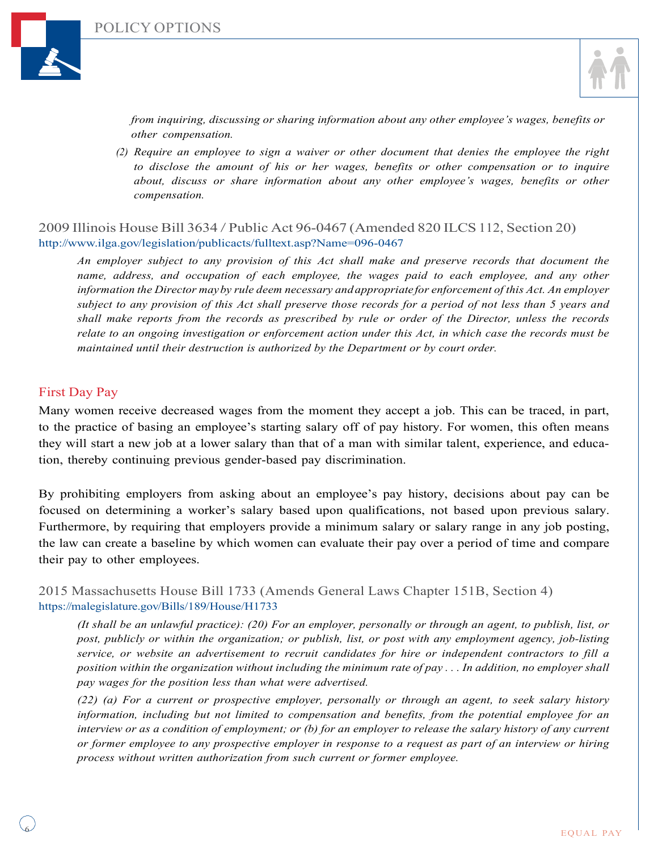



*from inquiring, discussing or sharing information about any other employee's wages, benefits or other compensation.*

*(2) Require an employee to sign a waiver or other document that denies the employee the right to disclose the amount of his or her wages, benefits or other compensation or to inquire about, discuss or share information about any other employee's wages, benefits or other compensation.*

2009 Illinois House Bill 3634 / Public Act 96-0467 (Amended 820 ILCS 112, Section 20) http://www.ilga.gov/legislation/publicacts/fulltext.asp?Name=096-0467

*An employer subject to any provision of this Act shall make and preserve records that document the name, address, and occupation of each employee, the wages paid to each employee, and any other information the Director mayby rule deem necessary andappropriate for enforcement of this Act. An employer* subject to any provision of this Act shall preserve those records for a period of not less than 5 years and shall make reports from the records as prescribed by rule or order of the Director, unless the records relate to an ongoing investigation or enforcement action under this Act, in which case the records must be *maintained until their destruction is authorized by the Department or by court order.*

### First Day Pay

Many women receive decreased wages from the moment they accept a job. This can be traced, in part, to the practice of basing an employee's starting salary off of pay history. For women, this often means they will start a new job at a lower salary than that of a man with similar talent, experience, and education, thereby continuing previous gender-based pay discrimination.

By prohibiting employers from asking about an employee's pay history, decisions about pay can be focused on determining a worker's salary based upon qualifications, not based upon previous salary. Furthermore, by requiring that employers provide a minimum salary or salary range in any job posting, the law can create a baseline by which women can evaluate their pay over a period of time and compare their pay to other employees.

2015 Massachusetts House Bill 1733 (Amends General Laws Chapter 151B, Section 4) https://malegislature.gov/Bills/189/House/H1733

(It shall be an unlawful practice): (20) For an employer, personally or through an agent, to publish, list, or *post, publicly or within the organization; or publish, list, or post with any employment agency, job-listing service, or website an advertisement to recruit candidates for hire or independent contractors to fill a* position within the organization without including the minimum rate of  $pay \dots In$  addition, no employer shall *pay wages for the position less than what were advertised.*

*(22) (a) For a current or prospective employer, personally or through an agent, to seek salary history information, including but not limited to compensation and benefits, from the potential employee for an* interview or as a condition of employment; or  $(b)$  for an employer to release the salary history of any current or former employee to any prospective employer in response to a request as part of an interview or hiring *process without written authorization from such current or former employee.*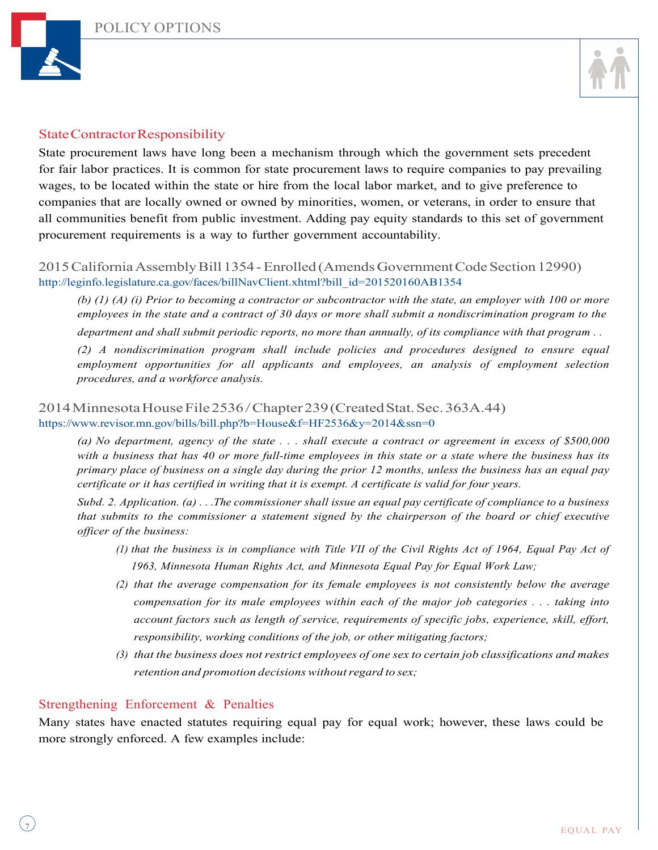



#### State Contractor Responsibility

State procurement laws have long been a mechanism through which the government sets precedent for fair labor practices. It is common for state procurement laws to require companies to pay prevailing wages, to be located within the state or hire from the local labor market, and to give preference to companies that are locally owned or owned by minorities, women, or veterans, in order to ensure that all communities benefit from public investment. Adding pay equity standards to this set of government procurement requirements is a way to further government accountability.

### 2015CaliforniaAssemblyBill 1354 -Enrolled (AmendsGovernmentCodeSection 12990) http://leginfo.legislature.ca.gov/faces/billNavClient.xhtml?bill\_id=201520160AB1354

(b) (1) (A) (i) Prior to becoming a contractor or subcontractor with the state, an employer with 100 or more employees in the state and a contract of 30 days or more shall submit a nondiscrimination program to the *department and shall submit periodic reports, no more than annually, of its compliance with that program . .*

*(2) A nondiscrimination program shall include policies and procedures designed to ensure equal employment opportunities for all applicants and employees, an analysis of employment selection procedures, and a workforce analysis.*

#### 2014MinnesotaHouseFile2536/Chapter239(CreatedStat.Sec.363A.44) https://www.revisor.mn.gov/bills/bill.php?b=House&f=HF2536&y=2014&ssn=0

(a) No department, agency of the state  $\ldots$  shall execute a contract or agreement in excess of \$500,000 with a business that has 40 or more full-time employees in this state or a state where the business has its primary place of business on a single day during the prior 12 months, unless the business has an equal pay *certificate or it has certified in writing that it is exempt. A certificate is valid for four years.*

Subd. 2. Application. (a)  $\ldots$  The commissioner shall issue an equal pay certificate of compliance to a business *that submits to the commissioner a statement signed by the chairperson of the board or chief executive officer of the business:*

- (1) that the business is in compliance with Title VII of the Civil Rights Act of 1964, Equal Pay Act of *1963, Minnesota Human Rights Act, and Minnesota Equal Pay for Equal Work Law;*
- *(2) that the average compensation for its female employees is not consistently below the average compensation for its male employees within each of the major job categories . . . taking into account factors such as length of service, requirements of specific jobs, experience, skill, effort, responsibility, working conditions of the job, or other mitigating factors;*
- *(3) that the business does not restrict employees of one sex to certain job classifications and makes retention* and *promotion decisions* without *regard* to *sex*;

## Strengthening Enforcement & Penalties

Many states have enacted statutes requiring equal pay for equal work; however, these laws could be more strongly enforced. A few examples include: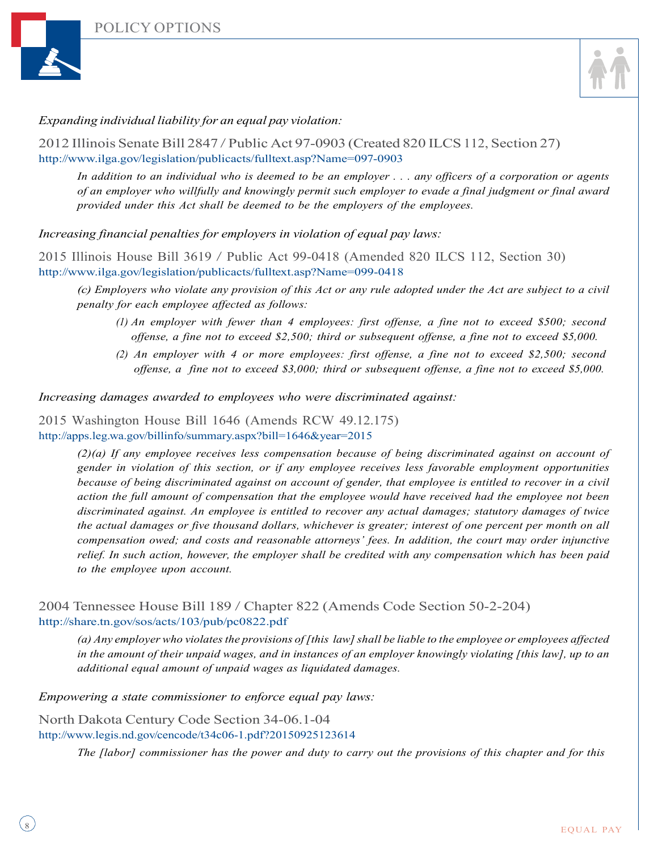



#### *Expanding individual liability for an equal pay violation:*

2012 Illinois Senate Bill 2847 / Public Act 97-0903 (Created 820 ILCS 112, Section 27) http://www.ilga.gov/legislation/publicacts/fulltext.asp?Name=097-0903

In addition to an individual who is deemed to be an employer  $\ldots$  any officers of a corporation or agents *of an employer who willfully and knowingly permit such employer to evade a final judgment or final award provided under this Act shall be deemed to be the employers of the employees.*

*Increasing financial penalties for employers in violation of equal pay laws:*

2015 Illinois House Bill 3619 / Public Act 99-0418 (Amended 820 ILCS 112, Section 30) http://www.ilga.gov/legislation/publicacts/fulltext.asp?Name=099-0418

(c) Employers who violate any provision of this Act or any rule adopted under the Act are subject to a civil *penalty for each employee affected as follows:*

- *(1) An employer with fewer than 4 employees: first offense, a fine not to exceed \$500; second offense, a fine not to exceed \$2,500; third or subsequent offense, a fine not to exceed \$5,000.*
- *(2) An employer with 4 or more employees: first offense, a fine not to exceed \$2,500; second offense, a fine not to exceed \$3,000; third or subsequent offense, a fine not to exceed \$5,000.*

*Increasing damages awarded to employees who were discriminated against:*

2015 Washington House Bill 1646 (Amends RCW 49.12.175) http://apps.leg.wa.gov/billinfo/summary.aspx?bill=1646&year=2015

> *(2)(a) If any employee receives less compensation because of being discriminated against on account of gender in violation of this section, or if any employee receives less favorable employment opportunities* because of being discriminated against on account of gender, that employee is entitled to recover in a civil *action the full amount of compensation that the employee would have received had the employee not been discriminated against. An employee is entitled to recover any actual damages; statutory damages of twice* the actual damages or five thousand dollars, whichever is greater; interest of one percent per month on all *compensation owed; and costs and reasonable attorneys' fees. In addition, the court may order injunctive relief. In such action, however, the employer shall be credited with any compensation which has been paid to the employee upon account.*

## 2004 Tennessee House Bill 189 / Chapter 822 (Amends Code Section 50-2-204) http://share.tn.gov/sos/acts/103/pub/pc0822.pdf

*(a) Any employer who violatesthe provisions of[this law]shall be liable to the employee or employees affected* in the amount of their unpaid wages, and in instances of an employer knowingly violating [this law], up to an *additional equal amount of unpaid wages as liquidated damages.*

*Empowering a state commissioner to enforce equal pay laws:*

North Dakota Century Code Section 34-06.1-04 http://www.legis.nd.gov/cencode/t34c06-1.pdf?20150925123614

The [labor] commissioner has the power and duty to carry out the provisions of this chapter and for this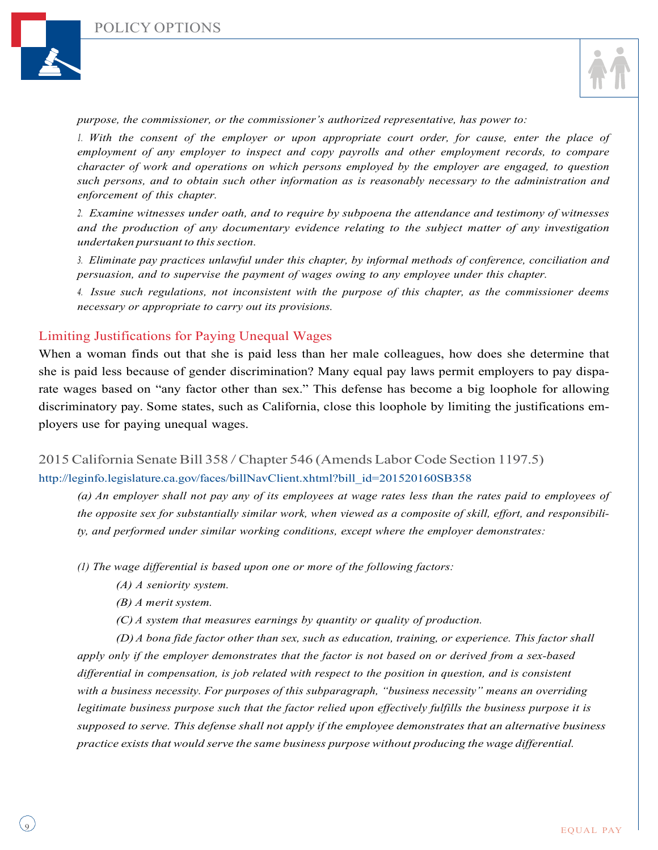



*purpose, the commissioner, or the commissioner's authorized representative, has power to:*

*1. With the consent of the employer or upon appropriate court order, for cause, enter the place of employment of any employer to inspect and copy payrolls and other employment records, to compare character of work and operations on which persons employed by the employer are engaged, to question such persons, and to obtain such other information as is reasonably necessary to the administration and enforcement of this chapter.*

*2. Examine witnesses under oath, and to require by subpoena the attendance and testimony of witnesses and the production of any documentary evidence relating to the subject matter of any investigation undertaken pursuant to thissection.*

*3. Eliminate pay practices unlawful under this chapter, by informal methods of conference, conciliation and persuasion, and to supervise the payment of wages owing to any employee under this chapter.*

*4. Issue such regulations, not inconsistent with the purpose of this chapter, as the commissioner deems necessary or appropriate to carry out its provisions.*

#### Limiting Justifications for Paying Unequal Wages

When a woman finds out that she is paid less than her male colleagues, how does she determine that she is paid less because of gender discrimination? Many equal pay laws permit employers to pay disparate wages based on "any factor other than sex." This defense has become a big loophole for allowing discriminatory pay. Some states, such as California, close this loophole by limiting the justifications employers use for paying unequal wages.

2015 California Senate Bill 358 / Chapter 546 (Amends Labor Code Section 1197.5) http://leginfo.legislature.ca.gov/faces/billNavClient.xhtml?bill\_id=201520160SB358

(a) An employer shall not pay any of its employees at wage rates less than the rates paid to employees of the opposite sex for substantially similar work, when viewed as a composite of skill, effort, and responsibili*ty, and performed under similar working conditions, except where the employer demonstrates:*

- *(1) The wage differential is based upon one or more of the following factors:*
	- *(A) A seniority system.*
	- *(B) A merit system.*
	- *(C) A system that measures earnings by quantity or quality of production.*

*(D) A bona fide factor other than sex, such as education, training, or experience. This factor shall* apply only if the employer demonstrates that the factor is not based on or derived from a sex-based *differential in compensation, is job related with respect to the position in question, and is consistent with a business necessity. For purposes of this subparagraph, "business necessity" means an overriding legitimate business purpose such that the factor relied upon effectively fulfills the business purpose it is supposed to serve. This defense shall not apply if the employee demonstrates that an alternative business practice exists that would serve the same business purpose without producing the wage differential.*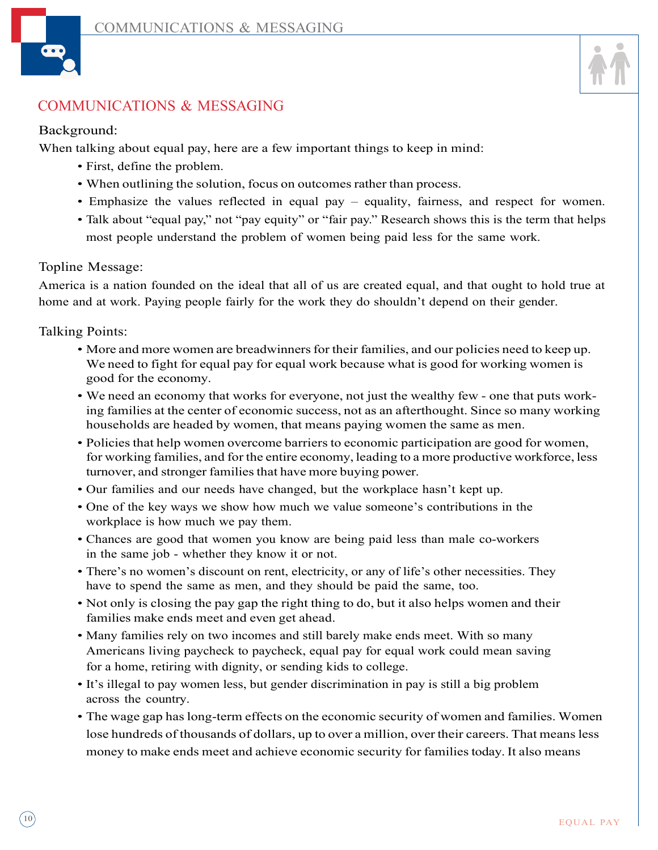



## COMMUNICATIONS & MESSAGING

### Background:

When talking about equal pay, here are a few important things to keep in mind:

- First, define the problem.
- When outlining the solution, focus on outcomes rather than process.
- Emphasize the values reflected in equal pay equality, fairness, and respect for women.
- Talk about "equal pay," not "pay equity" or "fair pay." Research shows this is the term that helps most people understand the problem of women being paid less for the same work.

### Topline Message:

America is a nation founded on the ideal that all of us are created equal, and that ought to hold true at home and at work. Paying people fairly for the work they do shouldn't depend on their gender.

Talking Points:

- More and more women are breadwinners for their families, and our policies need to keep up. We need to fight for equal pay for equal work because what is good for working women is good for the economy.
- We need an economy that works for everyone, not just the wealthy few one that puts working families at the center of economic success, not as an afterthought. Since so many working households are headed by women, that means paying women the same as men.
- Policies that help women overcome barriers to economic participation are good for women, for working families, and for the entire economy, leading to a more productive workforce, less turnover, and stronger families that have more buying power.
- Our families and our needs have changed, but the workplace hasn't kept up.
- One of the key ways we show how much we value someone's contributions in the workplace is how much we pay them.
- Chances are good that women you know are being paid less than male co-workers in the same job - whether they know it or not.
- There's no women's discount on rent, electricity, or any of life's other necessities. They have to spend the same as men, and they should be paid the same, too.
- Not only is closing the pay gap the right thing to do, but it also helps women and their families make ends meet and even get ahead.
- Many families rely on two incomes and still barely make ends meet. With so many Americans living paycheck to paycheck, equal pay for equal work could mean saving for a home, retiring with dignity, or sending kids to college.
- It's illegal to pay women less, but gender discrimination in pay is still a big problem across the country.
- The wage gap has long-term effects on the economic security of women and families. Women lose hundreds of thousands of dollars, up to over a million, over their careers. That means less money to make ends meet and achieve economic security for families today. It also means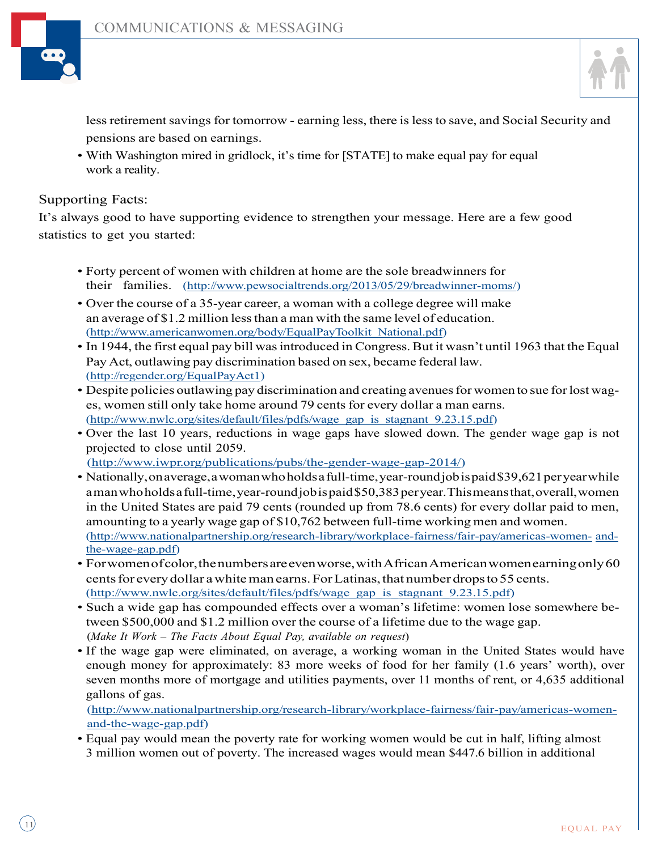



less retirement savings for tomorrow - earning less, there is less to save, and Social Security and pensions are based on earnings.

• With Washington mired in gridlock, it's time for [STATE] to make equal pay for equal work a reality.

## Supporting Facts:

It's always good to have supporting evidence to strengthen your message. Here are a few good statistics to get you started:

- Forty percent of women with children at home are the sole breadwinners for their families. (http://www.pewsocialtrends.org/2013/05/29/breadwinner-moms/)
- Over the course of a 35-year career, a woman with a college degree will make an average of \$1.2 million lessthan a man with the same level of education. (http://www.americanwomen.org/body/EqualPayToolkit\_National.pdf)
- In 1944, the first equal pay bill was introduced in Congress. But it wasn't until 1963 that the Equal Pay Act, outlawing pay discrimination based on sex, became federal law. (http://regender.org/EqualPayAct1)
- Despite policies outlawing pay discrimination and creating avenues for women to sue for lost wages, women still only take home around 79 centsfor every dollar a man earns. (http://www.nwlc.org/sites/default/files/pdfs/wage\_gap\_is\_stagnant\_9.23.15.pdf)
- Over the last 10 years, reductions in wage gaps have slowed down. The gender wage gap is not projected to close until 2059.
	- (http://www.iwpr.org/publications/pubs/the-gender-wage-gap-2014/)
- Nationally, on average, a woman who holds a full-time, year-round job is paid \$39,621 per year while amanwhoholdsafull-time,year-roundjobispaid\$50,383peryear.Thismeansthat,overall,women in the United States are paid 79 cents (rounded up from 78.6 cents) for every dollar paid to men, amounting to a yearly wage gap of \$10,762 between full-time working men and women. (http://www.nationalpartnership.org/research-library/workplace-fairness/fair-pay/americas-women- andthe-wage-gap.pdf)
- Forwomen of color, the numbers are even worse, with African American women earning only 60 cents for every dollar a white man earns. For Latinas, that number drops to 55 cents. (http://www.nwlc.org/sites/default/files/pdfs/wage\_gap\_is\_stagnant\_9.23.15.pdf)
- Such a wide gap has compounded effects over a woman's lifetime: women lose somewhere between \$500,000 and \$1.2 million over the course of a lifetime due to the wage gap. (*Make It Work – The Facts About Equal Pay, available on request*)
- If the wage gap were eliminated, on average, a working woman in the United States would have enough money for approximately: 83 more weeks of food for her family (1.6 years' worth), over seven months more of mortgage and utilities payments, over 11 months of rent, or 4,635 additional gallons of gas.

(http://www.nationalpartnership.org/research-library/workplace-fairness/fair-pay/americas-womenand-the-wage-gap.pdf)

• Equal pay would mean the poverty rate for working women would be cut in half, lifting almost 3 million women out of poverty. The increased wages would mean \$447.6 billion in additional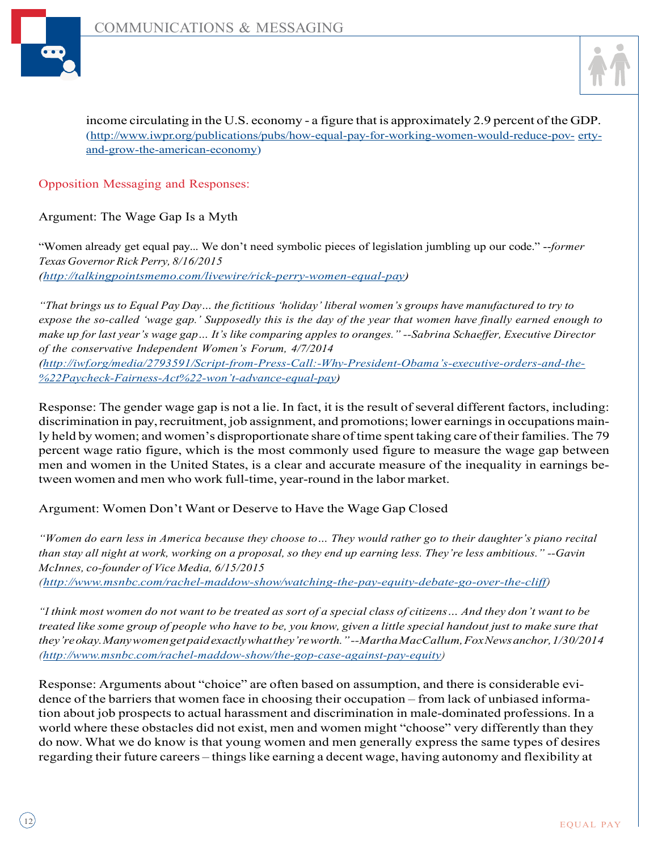



income circulating in the U.S. economy - a figure that is approximately 2.9 percent of the GDP. (http://www.iwpr.org/publications/pubs/how-equal-pay-for-working-women-would-reduce-pov- ertyand-grow-the-american-economy)

Opposition Messaging and Responses:

Argument: The Wage Gap Is a Myth

"Women already get equal pay... We don't need symbolic pieces of legislation jumbling up our code." --*former Texas Governor Rick Perry, 8/16/2015 (http://talkingpointsmemo.com/livewire/rick-perry-women-equal-pay)*

"That brings us to Equal Pay Day... the fictitious 'holiday' liberal women's groups have manufactured to try to expose the so-called 'wage gap.' Supposedly this is the day of the year that women have finally earned enough to make up for last year's wage gap... It's like comparing apples to oranges." --Sabrina Schaeffer, Executive Director *of the conservative Independent Women's Forum, 4/7/2014 (http://iwf.org/media/2793591/Script-from-Press-Call:-Why-President-Obama's-executive-orders-and-the- %22Paycheck-Fairness-Act%22-won't-advance-equal-pay)*

Response: The gender wage gap is not a lie. In fact, it is the result of several different factors, including: discrimination in pay, recruitment, job assignment, and promotions; lower earnings in occupations mainly held by women; and women's disproportionate share of time spent taking care of their families. The 79 percent wage ratio figure, which is the most commonly used figure to measure the wage gap between men and women in the United States, is a clear and accurate measure of the inequality in earnings between women and men who work full-time, year-round in the labor market.

Argument: Women Don't Want or Deserve to Have the Wage Gap Closed

*"Women do earn less in America because they choose to… They would rather go to their daughter's piano recital* than stay all night at work, working on a proposal, so they end up earning less. They're less ambitious." --Gavin *McInnes, co-founder of Vice Media, 6/15/2015 (http://www.msnbc.com/rachel-maddow-show/watching-the-pay-equity-debate-go-over-the-cliff)*

"I think most women do not want to be treated as sort of a special class of citizens... And they don't want to be treated like some group of people who have to be, you know, given a little special handout just to make sure that *they'reokay.Manywomengetpaidexactlywhatthey'reworth."--MarthaMacCallum,FoxNewsanchor,1/30/2014 (http://www.msnbc.com/rachel-maddow-show/the-gop-case-against-pay-equity)*

Response: Arguments about "choice" are often based on assumption, and there is considerable evidence of the barriers that women face in choosing their occupation – from lack of unbiased information about job prospects to actual harassment and discrimination in male-dominated professions. In a world where these obstacles did not exist, men and women might "choose" very differently than they do now. What we do know is that young women and men generally express the same types of desires regarding their future careers – things like earning a decent wage, having autonomy and flexibility at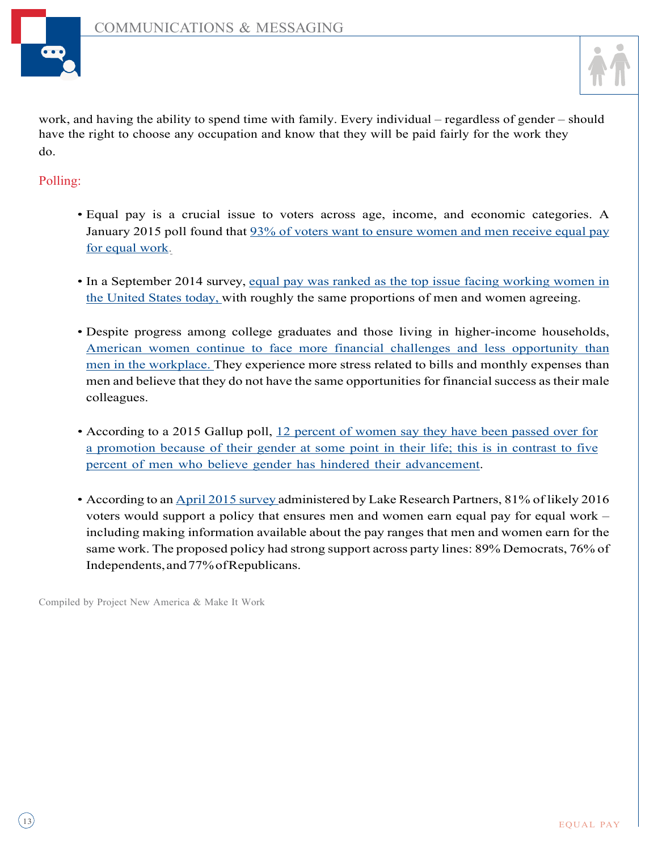



work, and having the ability to spend time with family. Every individual – regardless of gender – should have the right to choose any occupation and know that they will be paid fairly for the work they do.

## Polling:

- Equal pay is a crucial issue to voters across age, income, and economic categories. A January 2015 poll found that 93% of voters want to ensure women and men receive equal pay for equal work.
- In a September 2014 survey, equal pay was ranked as the top issue facing working women in the United States today, with roughly the same proportions of men and women agreeing.
- Despite progress among college graduates and those living in higher-income households, American women continue to face more financial challenges and less opportunity than men in the workplace. They experience more stress related to bills and monthly expenses than men and believe that they do not have the same opportunities for financial success as their male colleagues.
- According to a 2015 Gallup poll, 12 percent of women say they have been passed over for a promotion because of their gender at some point in their life; this is in contrast to five percent of men who believe gender has hindered their advancement.
- According to an April 2015 survey administered by Lake Research Partners, 81% of likely 2016 voters would support a policy that ensures men and women earn equal pay for equal work – including making information available about the pay ranges that men and women earn for the same work. The proposed policy had strong support across party lines: 89% Democrats, 76% of Independents,and77%ofRepublicans.

Compiled by Project New America & Make It Work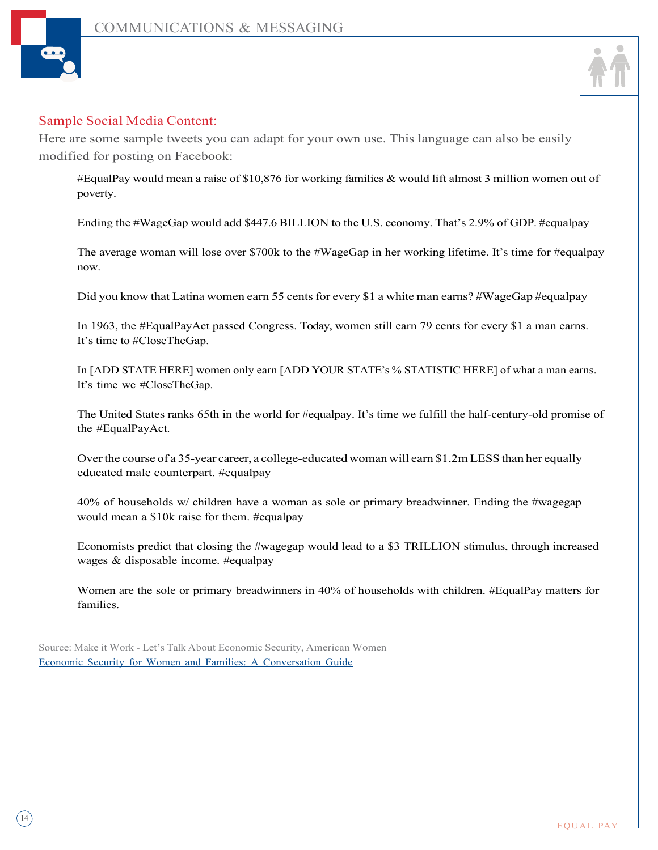



#### Sample Social Media Content:

Here are some sample tweets you can adapt for your own use. This language can also be easily modified for posting on Facebook:

#EqualPay would mean a raise of \$10,876 for working families & would lift almost 3 million women out of poverty.

Ending the #WageGap would add \$447.6 BILLION to the U.S. economy. That's 2.9% of GDP. #equalpay

The average woman will lose over \$700k to the #WageGap in her working lifetime. It's time for #equalpay now.

Did you know that Latina women earn 55 cents for every \$1 a white man earns? #WageGap #equalpay

In 1963, the #EqualPayAct passed Congress. Today, women still earn 79 cents for every \$1 a man earns. It's time to #CloseTheGap.

In [ADD STATE HERE] women only earn [ADD YOUR STATE's % STATISTIC HERE] of what a man earns. It's time we #CloseTheGap.

The United States ranks 65th in the world for #equalpay. It's time we fulfill the half-century-old promise of the #EqualPayAct.

Overthe course of a 35-year career, a college-educated woman will earn \$1.2m LESS than her equally educated male counterpart. #equalpay

40% of households w/ children have a woman as sole or primary breadwinner. Ending the #wagegap would mean a \$10k raise for them. #equalpay

Economists predict that closing the #wagegap would lead to a \$3 TRILLION stimulus, through increased wages & disposable income. #equalpay

Women are the sole or primary breadwinners in 40% of households with children. #EqualPay matters for families.

Source: Make it Work - Let's Talk About Economic Security, American Women Economic Security for Women and Families: A Conversation Guide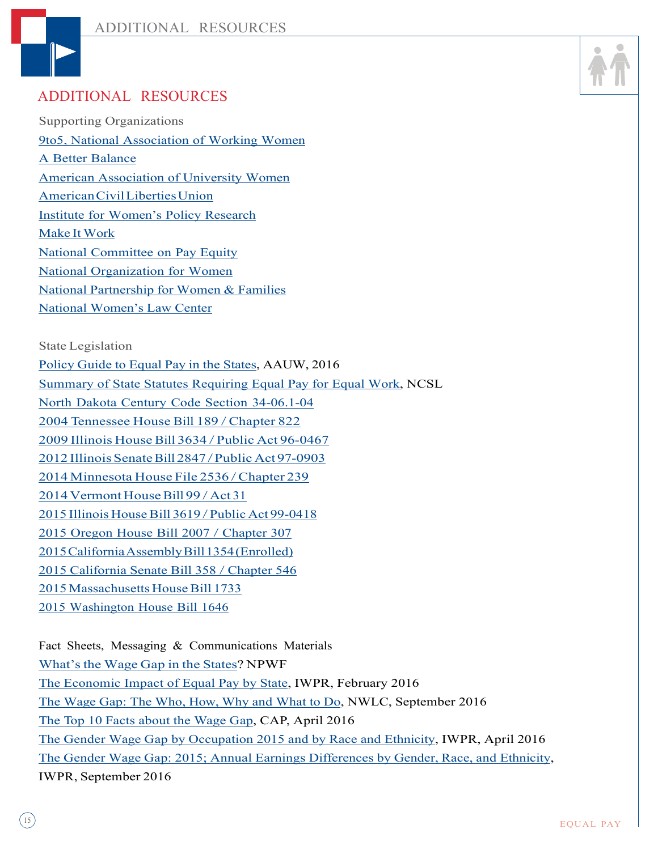

## ADDITIONAL RESOURCES

Supporting Organizations 9to5, National Association of Working Women A Better Balance American Association of University Women AmericanCivilLibertiesUnion Institute for Women's Policy Research Make It Work National Committee on Pay Equity National Organization for Women National Partnership for Women & Families National Women's Law Center

State Legislation Policy Guide to Equal Pay in the States, AAUW, 2016 Summary of State Statutes Requiring Equal Pay for Equal Work, NCSL North Dakota Century Code Section 34-06.1-04 2004 Tennessee House Bill 189 / Chapter 822 2009 Illinois House Bill 3634 / Public Act 96-0467 2012 Illinois Senate Bill 2847 / Public Act 97-0903 2014 Minnesota House File 2536 /Chapter 239 2014 Vermont House Bill 99 / Act 31 2015 Illinois House Bill 3619 / Public Act 99-0418 2015 Oregon House Bill 2007 / Chapter 307 2015 California Assembly Bill 1354 (Enrolled) 2015 California Senate Bill 358 / Chapter 546 2015 Massachusetts House Bill 1733 2015 Washington House Bill 1646

Fact Sheets, Messaging & Communications Materials What's the Wage Gap in the States? NPWF The Economic Impact of Equal Pay by State, IWPR, February 2016 The Wage Gap: The Who, How, Why and What to Do, NWLC, September 2016 The Top 10 Facts about the Wage Gap, CAP, April 2016 The Gender Wage Gap by Occupation 2015 and by Race and Ethnicity, IWPR, April 2016 The Gender Wage Gap: 2015; Annual Earnings Differences by Gender, Race, and Ethnicity, IWPR, September 2016

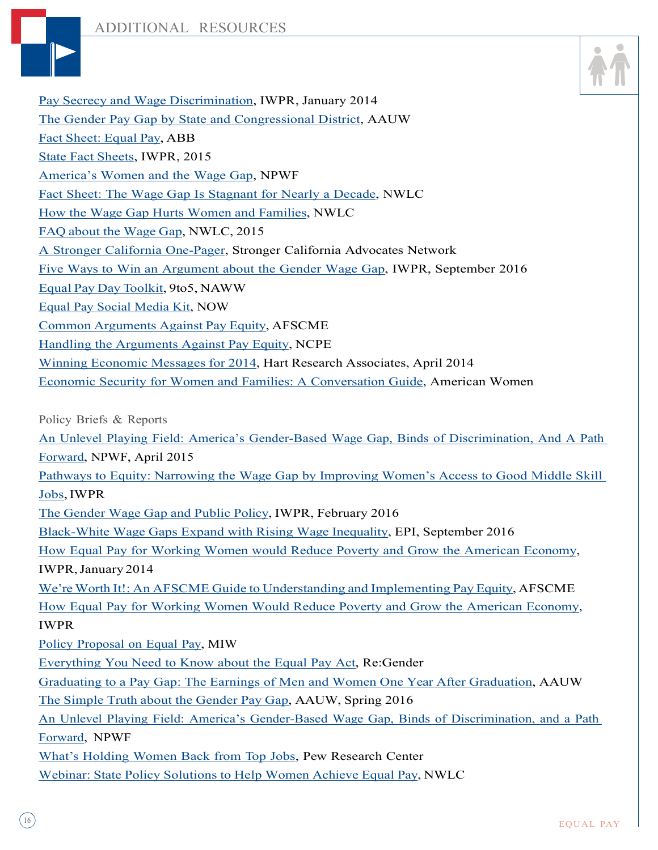



Pay Secrecy and Wage Discrimination, IWPR, January 2014 The Gender Pay Gap by State and Congressional District, AAUW Fact Sheet: Equal Pay, ABB State Fact Sheets, IWPR, 2015 America's Women and the Wage Gap, NPWF Fact Sheet: The Wage Gap Is Stagnant for Nearly a Decade, NWLC How the Wage Gap Hurts Women and Families, NWLC FAQ about the Wage Gap, NWLC, 2015 A Stronger California One-Pager, Stronger California Advocates Network Five Ways to Win an Argument about the Gender Wage Gap, IWPR, September 2016 Equal Pay Day Toolkit, 9to5, NAWW Equal Pay Social Media Kit, NOW Common Arguments Against Pay Equity, AFSCME Handling the Arguments Against Pay Equity, NCPE Winning Economic Messages for 2014, Hart Research Associates, April 2014 Economic Security for Women and Families: A Conversation Guide, American Women

Policy Briefs & Reports

An Unlevel Playing Field: America's Gender-Based Wage Gap, Binds of Discrimination, And A Path Forward, NPWF, April 2015

Pathways to Equity: Narrowing the Wage Gap by Improving Women's Access to Good Middle Skill Jobs,IWPR

The Gender Wage Gap and Public Policy, IWPR, February 2016

Black-White Wage Gaps Expand with Rising Wage Inequality, EPI, September 2016

How Equal Pay for Working Women would Reduce Poverty and Grow the American Economy, IWPR,January 2014

We're Worth It!: An AFSCME Guide to Understanding and Implementing Pay Equity, AFSCME How Equal Pay for Working Women Would Reduce Poverty and Grow the American Economy, IWPR

Policy Proposal on Equal Pay, MIW

Everything You Need to Know about the Equal Pay Act, Re:Gender

Graduating to a Pay Gap: The Earnings of Men and Women One Year After Graduation, AAUW

The Simple Truth about the Gender Pay Gap, AAUW, Spring 2016

An Unlevel Playing Field: America's Gender-Based Wage Gap, Binds of Discrimination, and a Path Forward, NPWF

What's Holding Women Back from Top Jobs, Pew Research Center Webinar: State Policy Solutions to Help Women Achieve Equal Pay, NWLC